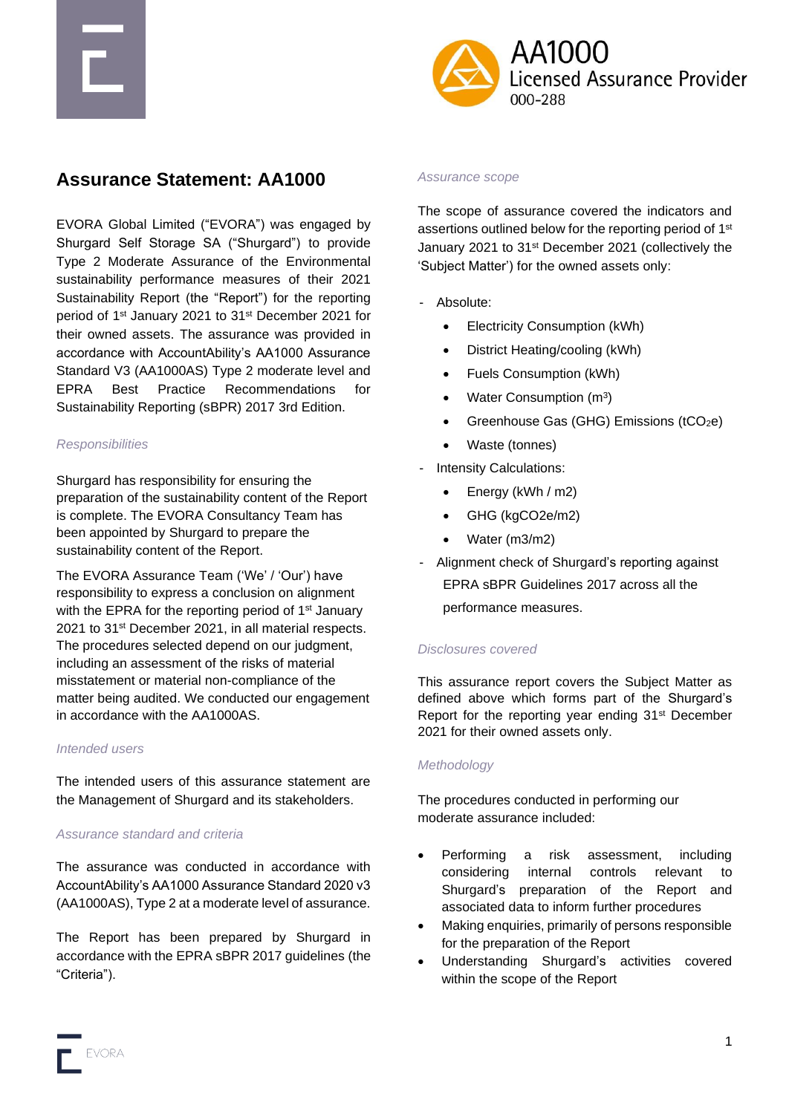



# **Assurance Statement: AA1000**

EVORA Global Limited ("EVORA") was engaged by Shurgard Self Storage SA ("Shurgard") to provide Type 2 Moderate Assurance of the Environmental sustainability performance measures of their 2021 Sustainability Report (the "Report") for the reporting period of 1<sup>st</sup> January 2021 to 31<sup>st</sup> December 2021 for their owned assets. The assurance was provided in accordance with AccountAbility's AA1000 Assurance Standard V3 (AA1000AS) Type 2 moderate level and EPRA Best Practice Recommendations for Sustainability Reporting (sBPR) 2017 3rd Edition.

#### *Responsibilities*

Shurgard has responsibility for ensuring the preparation of the sustainability content of the Report is complete. The EVORA Consultancy Team has been appointed by Shurgard to prepare the sustainability content of the Report.

The EVORA Assurance Team ('We' / 'Our') have responsibility to express a conclusion on alignment with the EPRA for the reporting period of 1<sup>st</sup> January 2021 to 31<sup>st</sup> December 2021, in all material respects. The procedures selected depend on our judgment, including an assessment of the risks of material misstatement or material non-compliance of the matter being audited. We conducted our engagement in accordance with the AA1000AS.

#### *Intended users*

The intended users of this assurance statement are the Management of Shurgard and its stakeholders.

## *Assurance standard and criteria*

The assurance was conducted in accordance with AccountAbility's AA1000 Assurance Standard 2020 v3 (AA1000AS), Type 2 at a moderate level of assurance.

The Report has been prepared by Shurgard in accordance with the EPRA sBPR 2017 guidelines (the "Criteria").

#### *Assurance scope*

The scope of assurance covered the indicators and assertions outlined below for the reporting period of 1<sup>st</sup> January 2021 to 31st December 2021 (collectively the 'Subject Matter') for the owned assets only:

- Absolute:
	- Electricity Consumption (kWh)
	- District Heating/cooling (kWh)
	- Fuels Consumption (kWh)
	- Water Consumption (m<sup>3</sup>)
	- Greenhouse Gas (GHG) Emissions (tCO<sub>2</sub>e)
	- Waste (tonnes)
- Intensity Calculations:
	- Energy (kWh / m2)
	- GHG (kgCO2e/m2)
	- Water (m3/m2)
- Alignment check of Shurgard's reporting against EPRA sBPR Guidelines 2017 across all the performance measures.

## *Disclosures covered*

This assurance report covers the Subject Matter as defined above which forms part of the Shurgard's Report for the reporting year ending 31<sup>st</sup> December 2021 for their owned assets only.

## *Methodology*

The procedures conducted in performing our moderate assurance included:

- Performing a risk assessment, including considering internal controls relevant to Shurgard's preparation of the Report and associated data to inform further procedures
- Making enquiries, primarily of persons responsible for the preparation of the Report
- Understanding Shurgard's activities covered within the scope of the Report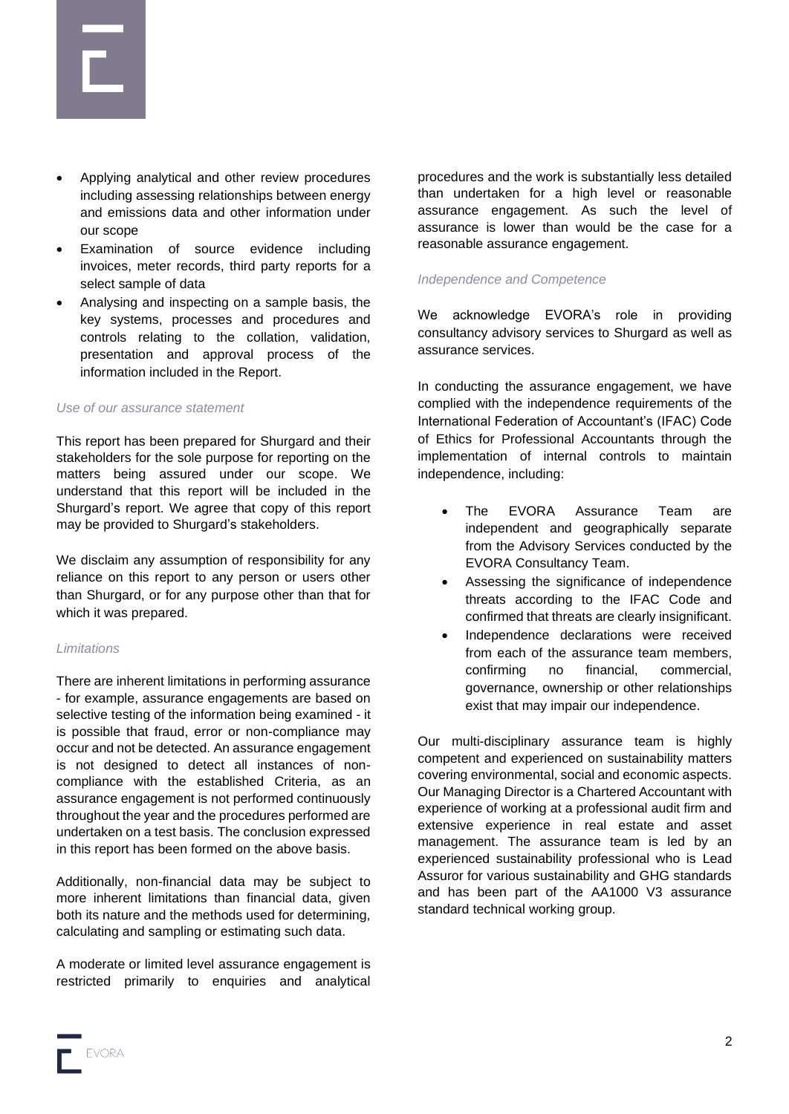

- Applying analytical and other review procedures including assessing relationships between energy and emissions data and other information under our scope
- Examination of source evidence including invoices, meter records, third party reports for a select sample of data
- Analysing and inspecting on a sample basis, the key systems, processes and procedures and controls relating to the collation, validation, presentation and approval process of the information included in the Report.

## *Use of our assurance statement*

This report has been prepared for Shurgard and their stakeholders for the sole purpose for reporting on the matters being assured under our scope. We understand that this report will be included in the Shurgard's report. We agree that copy of this report may be provided to Shurgard's stakeholders.

We disclaim any assumption of responsibility for any reliance on this report to any person or users other than Shurgard, or for any purpose other than that for which it was prepared.

#### *Limitations*

There are inherent limitations in performing assurance - for example, assurance engagements are based on selective testing of the information being examined - it is possible that fraud, error or non-compliance may occur and not be detected. An assurance engagement is not designed to detect all instances of noncompliance with the established Criteria, as an assurance engagement is not performed continuously throughout the year and the procedures performed are undertaken on a test basis. The conclusion expressed in this report has been formed on the above basis.

Additionally, non-financial data may be subject to more inherent limitations than financial data, given both its nature and the methods used for determining, calculating and sampling or estimating such data.

A moderate or limited level assurance engagement is restricted primarily to enquiries and analytical procedures and the work is substantially less detailed than undertaken for a high level or reasonable assurance engagement. As such the level of assurance is lower than would be the case for a reasonable assurance engagement.

## *Independence and Competence*

We acknowledge EVORA's role in providing consultancy advisory services to Shurgard as well as assurance services.

In conducting the assurance engagement, we have complied with the independence requirements of the International Federation of Accountant's (IFAC) Code of Ethics for Professional Accountants through the implementation of internal controls to maintain independence, including:

- The FVORA Assurance Team are independent and geographically separate from the Advisory Services conducted by the EVORA Consultancy Team.
- Assessing the significance of independence threats according to the IFAC Code and confirmed that threats are clearly insignificant.
- Independence declarations were received from each of the assurance team members, confirming no financial, commercial, governance, ownership or other relationships exist that may impair our independence.

Our multi-disciplinary assurance team is highly competent and experienced on sustainability matters covering environmental, social and economic aspects. Our Managing Director is a Chartered Accountant with experience of working at a professional audit firm and extensive experience in real estate and asset management. The assurance team is led by an experienced sustainability professional who is Lead Assuror for various sustainability and GHG standards and has been part of the AA1000 V3 assurance standard technical working group.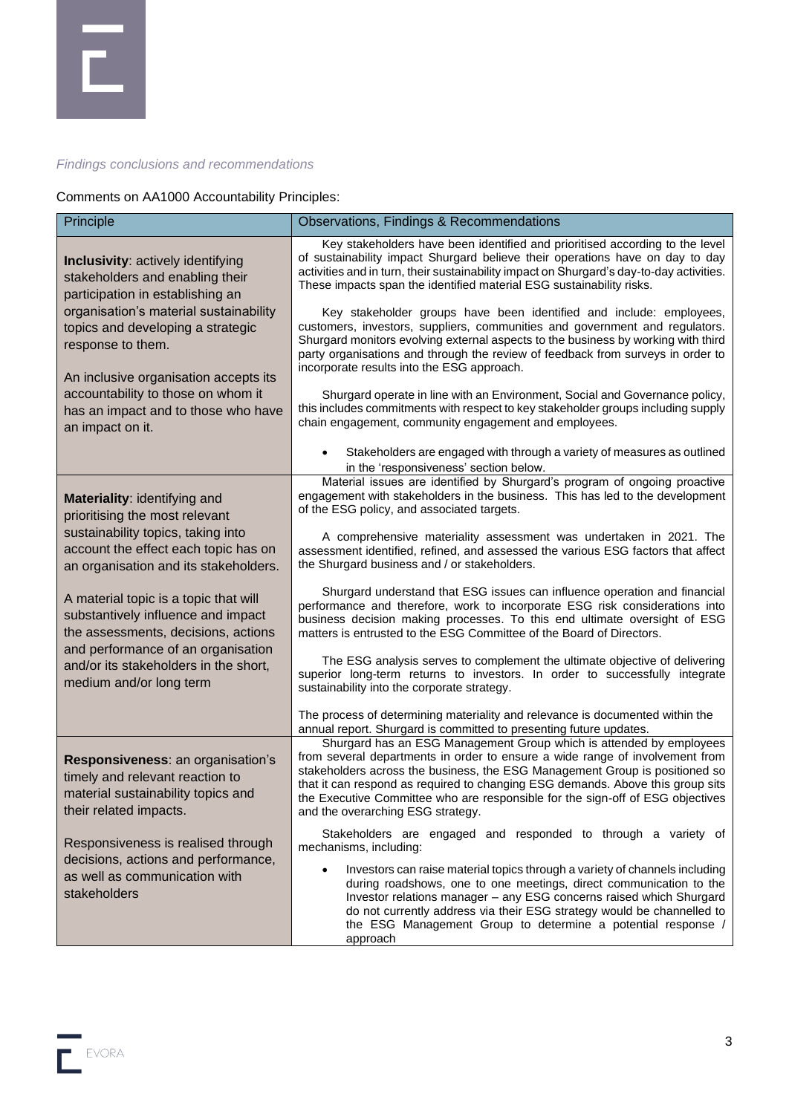## *Findings conclusions and recommendations*

Comments on AA1000 Accountability Principles:

| Principle                                                                                                                                 | Observations, Findings & Recommendations                                                                                                                                                                                                                                                                                                                                                                                                    |
|-------------------------------------------------------------------------------------------------------------------------------------------|---------------------------------------------------------------------------------------------------------------------------------------------------------------------------------------------------------------------------------------------------------------------------------------------------------------------------------------------------------------------------------------------------------------------------------------------|
| <b>Inclusivity: actively identifying</b><br>stakeholders and enabling their<br>participation in establishing an                           | Key stakeholders have been identified and prioritised according to the level<br>of sustainability impact Shurgard believe their operations have on day to day<br>activities and in turn, their sustainability impact on Shurgard's day-to-day activities.<br>These impacts span the identified material ESG sustainability risks.                                                                                                           |
| organisation's material sustainability<br>topics and developing a strategic<br>response to them.<br>An inclusive organisation accepts its | Key stakeholder groups have been identified and include: employees,<br>customers, investors, suppliers, communities and government and regulators.<br>Shurgard monitors evolving external aspects to the business by working with third<br>party organisations and through the review of feedback from surveys in order to<br>incorporate results into the ESG approach.                                                                    |
| accountability to those on whom it<br>has an impact and to those who have<br>an impact on it.                                             | Shurgard operate in line with an Environment, Social and Governance policy,<br>this includes commitments with respect to key stakeholder groups including supply<br>chain engagement, community engagement and employees.                                                                                                                                                                                                                   |
|                                                                                                                                           | Stakeholders are engaged with through a variety of measures as outlined<br>$\bullet$<br>in the 'responsiveness' section below.                                                                                                                                                                                                                                                                                                              |
| Materiality: identifying and<br>prioritising the most relevant                                                                            | Material issues are identified by Shurgard's program of ongoing proactive<br>engagement with stakeholders in the business. This has led to the development<br>of the ESG policy, and associated targets.                                                                                                                                                                                                                                    |
| sustainability topics, taking into<br>account the effect each topic has on<br>an organisation and its stakeholders.                       | A comprehensive materiality assessment was undertaken in 2021. The<br>assessment identified, refined, and assessed the various ESG factors that affect<br>the Shurgard business and / or stakeholders.                                                                                                                                                                                                                                      |
| A material topic is a topic that will<br>substantively influence and impact<br>the assessments, decisions, actions                        | Shurgard understand that ESG issues can influence operation and financial<br>performance and therefore, work to incorporate ESG risk considerations into<br>business decision making processes. To this end ultimate oversight of ESG<br>matters is entrusted to the ESG Committee of the Board of Directors.                                                                                                                               |
| and performance of an organisation<br>and/or its stakeholders in the short,<br>medium and/or long term                                    | The ESG analysis serves to complement the ultimate objective of delivering<br>superior long-term returns to investors. In order to successfully integrate<br>sustainability into the corporate strategy.                                                                                                                                                                                                                                    |
|                                                                                                                                           | The process of determining materiality and relevance is documented within the<br>annual report. Shurgard is committed to presenting future updates.                                                                                                                                                                                                                                                                                         |
| Responsiveness: an organisation's<br>timely and relevant reaction to<br>material sustainability topics and<br>their related impacts.      | Shurgard has an ESG Management Group which is attended by employees<br>from several departments in order to ensure a wide range of involvement from<br>stakeholders across the business, the ESG Management Group is positioned so<br>that it can respond as required to changing ESG demands. Above this group sits<br>the Executive Committee who are responsible for the sign-off of ESG objectives<br>and the overarching ESG strategy. |
| Responsiveness is realised through                                                                                                        | Stakeholders are engaged and responded to through a variety of<br>mechanisms, including:                                                                                                                                                                                                                                                                                                                                                    |
| decisions, actions and performance,<br>as well as communication with<br>stakeholders                                                      | Investors can raise material topics through a variety of channels including<br>during roadshows, one to one meetings, direct communication to the<br>Investor relations manager - any ESG concerns raised which Shurgard<br>do not currently address via their ESG strategy would be channelled to<br>the ESG Management Group to determine a potential response /<br>approach                                                              |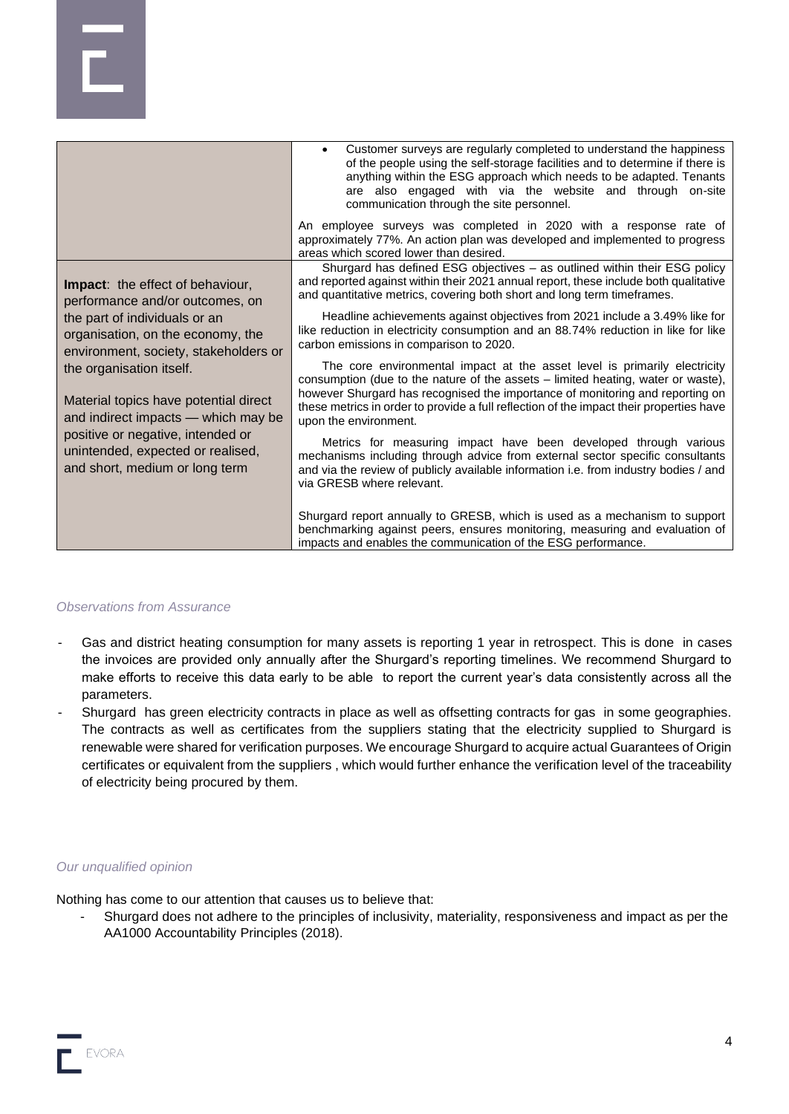|                                                                                                                                                                                                                                                                                                                                                                                                                   | Customer surveys are regularly completed to understand the happiness<br>$\bullet$<br>of the people using the self-storage facilities and to determine if there is<br>anything within the ESG approach which needs to be adapted. Tenants<br>are also engaged with via the website and through on-site<br>communication through the site personnel.                 |
|-------------------------------------------------------------------------------------------------------------------------------------------------------------------------------------------------------------------------------------------------------------------------------------------------------------------------------------------------------------------------------------------------------------------|--------------------------------------------------------------------------------------------------------------------------------------------------------------------------------------------------------------------------------------------------------------------------------------------------------------------------------------------------------------------|
|                                                                                                                                                                                                                                                                                                                                                                                                                   | An employee surveys was completed in 2020 with a response rate of<br>approximately 77%. An action plan was developed and implemented to progress<br>areas which scored lower than desired.                                                                                                                                                                         |
| <b>Impact:</b> the effect of behaviour,<br>performance and/or outcomes, on<br>the part of individuals or an<br>organisation, on the economy, the<br>environment, society, stakeholders or<br>the organisation itself.<br>Material topics have potential direct<br>and indirect impacts - which may be<br>positive or negative, intended or<br>unintended, expected or realised,<br>and short, medium or long term | Shurgard has defined ESG objectives - as outlined within their ESG policy<br>and reported against within their 2021 annual report, these include both qualitative<br>and quantitative metrics, covering both short and long term timeframes.                                                                                                                       |
|                                                                                                                                                                                                                                                                                                                                                                                                                   | Headline achievements against objectives from 2021 include a 3.49% like for<br>like reduction in electricity consumption and an 88.74% reduction in like for like<br>carbon emissions in comparison to 2020.                                                                                                                                                       |
|                                                                                                                                                                                                                                                                                                                                                                                                                   | The core environmental impact at the asset level is primarily electricity<br>consumption (due to the nature of the assets – limited heating, water or waste),<br>however Shurgard has recognised the importance of monitoring and reporting on<br>these metrics in order to provide a full reflection of the impact their properties have<br>upon the environment. |
|                                                                                                                                                                                                                                                                                                                                                                                                                   | Metrics for measuring impact have been developed through various<br>mechanisms including through advice from external sector specific consultants<br>and via the review of publicly available information i.e. from industry bodies / and<br>via GRESB where relevant.                                                                                             |
|                                                                                                                                                                                                                                                                                                                                                                                                                   | Shurgard report annually to GRESB, which is used as a mechanism to support<br>benchmarking against peers, ensures monitoring, measuring and evaluation of<br>impacts and enables the communication of the ESG performance.                                                                                                                                         |

## *Observations from Assurance*

- Gas and district heating consumption for many assets is reporting 1 year in retrospect. This is done in cases the invoices are provided only annually after the Shurgard's reporting timelines. We recommend Shurgard to make efforts to receive this data early to be able to report the current year's data consistently across all the parameters.
- Shurgard has green electricity contracts in place as well as offsetting contracts for gas in some geographies. The contracts as well as certificates from the suppliers stating that the electricity supplied to Shurgard is renewable were shared for verification purposes. We encourage Shurgard to acquire actual Guarantees of Origin certificates or equivalent from the suppliers , which would further enhance the verification level of the traceability of electricity being procured by them.

#### *Our unqualified opinion*

Nothing has come to our attention that causes us to believe that:

- Shurgard does not adhere to the principles of inclusivity, materiality, responsiveness and impact as per the AA1000 Accountability Principles (2018).